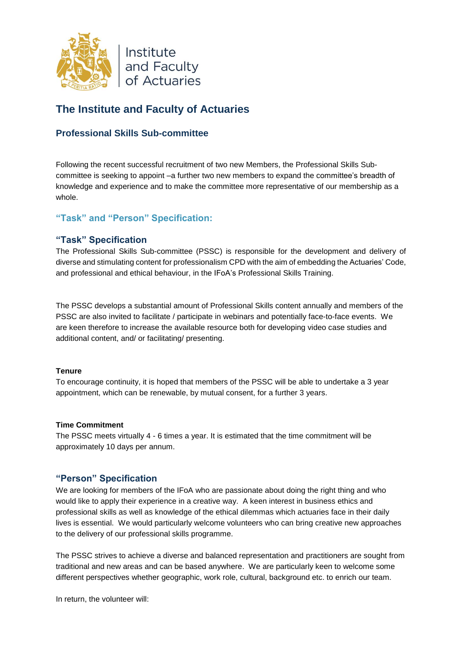

# **The Institute and Faculty of Actuaries**

# **Professional Skills Sub-committee**

Following the recent successful recruitment of two new Members, the Professional Skills Subcommittee is seeking to appoint –a further two new members to expand the committee's breadth of knowledge and experience and to make the committee more representative of our membership as a whole.

## **"Task" and "Person" Specification:**

## **"Task" Specification**

The Professional Skills Sub-committee (PSSC) is responsible for the development and delivery of diverse and stimulating content for professionalism CPD with the aim of embedding the Actuaries' Code, and professional and ethical behaviour, in the IFoA's Professional Skills Training.

The PSSC develops a substantial amount of Professional Skills content annually and members of the PSSC are also invited to facilitate / participate in webinars and potentially face-to-face events. We are keen therefore to increase the available resource both for developing video case studies and additional content, and/ or facilitating/ presenting.

#### **Tenure**

To encourage continuity, it is hoped that members of the PSSC will be able to undertake a 3 year appointment, which can be renewable, by mutual consent, for a further 3 years.

#### **Time Commitment**

The PSSC meets virtually 4 - 6 times a year. It is estimated that the time commitment will be approximately 10 days per annum.

### **"Person" Specification**

We are looking for members of the IFoA who are passionate about doing the right thing and who would like to apply their experience in a creative way. A keen interest in business ethics and professional skills as well as knowledge of the ethical dilemmas which actuaries face in their daily lives is essential. We would particularly welcome volunteers who can bring creative new approaches to the delivery of our professional skills programme.

The PSSC strives to achieve a diverse and balanced representation and practitioners are sought from traditional and new areas and can be based anywhere. We are particularly keen to welcome some different perspectives whether geographic, work role, cultural, background etc. to enrich our team.

In return, the volunteer will: